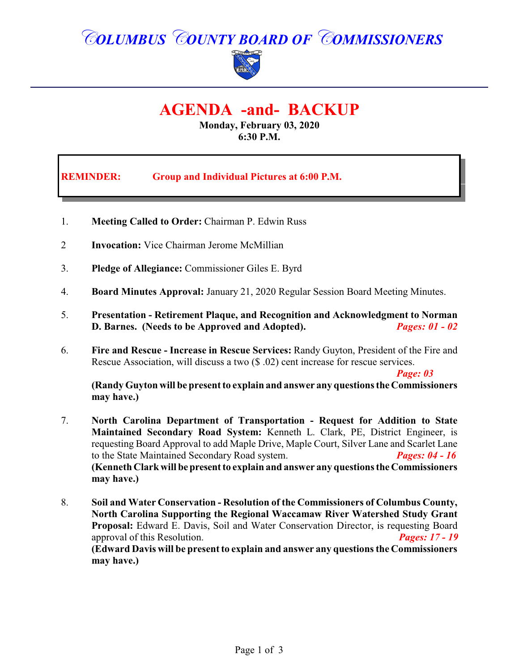# *COLUMBUS COUNTY BOARD OF COMMISSIONERS*



## **AGENDA -and- BACKUP**

**Monday, February 03, 2020 6:30 P.M.**

**REMINDER: Group and Individual Pictures at 6:00 P.M.**

- 1. **Meeting Called to Order:** Chairman P. Edwin Russ
- 2 **Invocation:** Vice Chairman Jerome McMillian
- 3. **Pledge of Allegiance:** Commissioner Giles E. Byrd
- 4. **Board Minutes Approval:** January 21, 2020 Regular Session Board Meeting Minutes.
- 5. **Presentation Retirement Plaque, and Recognition and Acknowledgment to Norman D. Barnes. (Needs to be Approved and Adopted).** *Pages: 01 - 02*
- 6. **Fire and Rescue Increase in Rescue Services:** Randy Guyton, President of the Fire and Rescue Association, will discuss a two (\$ .02) cent increase for rescue services.

*Page: 03*

**(Randy Guyton will be present to explain and answer any questions the Commissioners may have.)**

- 7. **North Carolina Department of Transportation Request for Addition to State Maintained Secondary Road System:** Kenneth L. Clark, PE, District Engineer, is requesting Board Approval to add Maple Drive, Maple Court, Silver Lane and Scarlet Lane to the State Maintained Secondary Road system. *Pages: 04 - 16* **(Kenneth Clark will bepresent to explain and answer any questions the Commissioners may have.)**
- 8. **Soil and Water Conservation - Resolution of the Commissioners of Columbus County, North Carolina Supporting the Regional Waccamaw River Watershed Study Grant Proposal:** Edward E. Davis, Soil and Water Conservation Director, is requesting Board approval of this Resolution. *Pages: 17 - 19* **(Edward Davis will be present to explain and answer any questions the Commissioners may have.)**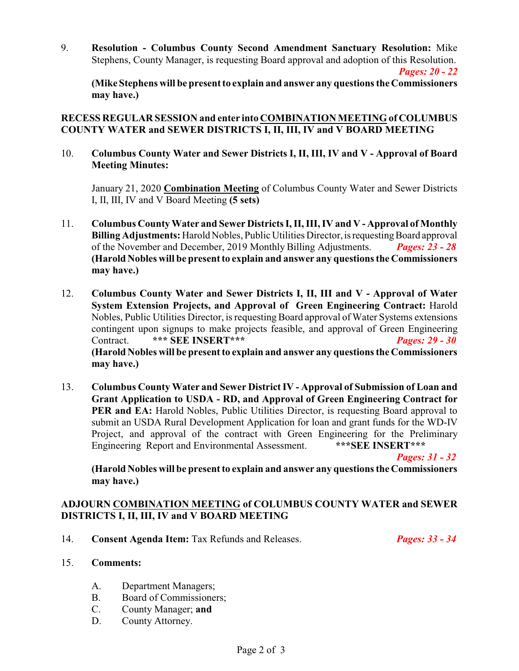9. **Resolution - Columbus County Second Amendment Sanctuary Resolution:** Mike Stephens, County Manager, is requesting Board approval and adoption of this Resolution. *Pages: 20 - 22*

**(Mike Stephens will be present to explain and answer any questions the Commissioners may have.)**

#### **RECESS REGULAR SESSION and enter into COMBINATION MEETING of COLUMBUS COUNTY WATER and SEWER DISTRICTS I, II, III, IV and V BOARD MEETING**

10. **Columbus County Water and Sewer Districts I, II, III, IV and V - Approval of Board Meeting Minutes:**

January 21, 2020 **Combination Meeting** of Columbus County Water and Sewer Districts I, II, III, IV and V Board Meeting **(5 sets)**

- 11. **Columbus County Water and Sewer Districts I, II, III, IV and V Approval of Monthly Billing Adjustments:** Harold Nobles, Public Utilities Director, is requesting Board approval of the November and December, 2019 Monthly Billing Adjustments. *Pages: 23 - 28* **(Harold Nobles will be present to explain and answer any questions the Commissioners may have.)**
- 12. **Columbus County Water and Sewer Districts I, II, III and V Approval of Water System Extension Projects, and Approval of Green Engineering Contract:** Harold Nobles, Public Utilities Director, is requesting Board approval of Water Systems extensions contingent upon signups to make projects feasible, and approval of Green Engineering Contract. **\*\*\* SEE INSERT\*\*\*** *Pages: 29 - 30* **(Harold Nobles will be present to explain and answer any questions the Commissioners may have.)**
- 13. **Columbus County Water and Sewer District IV Approval of Submission of Loan and Grant Application to USDA - RD, and Approval of Green Engineering Contract for PER and EA:** Harold Nobles, Public Utilities Director, is requesting Board approval to submit an USDA Rural Development Application for loan and grant funds for the WD-IV Project, and approval of the contract with Green Engineering for the Preliminary Engineering Report and Environmental Assessment. **\*\*\*SEE INSERT\*\*\***

*Pages: 31 - 32*

**(Harold Nobles will be present to explain and answer any questions the Commissioners may have.)**

#### **ADJOURN COMBINATION MEETING of COLUMBUS COUNTY WATER and SEWER DISTRICTS I, II, III, IV and V BOARD MEETING**

14. **Consent Agenda Item:** Tax Refunds and Releases. *Pages: 33 - 34* 

- 15. **Comments:**
	- A. Department Managers;
	- B. Board of Commissioners;
	- C. County Manager; **and**
	- D. County Attorney.